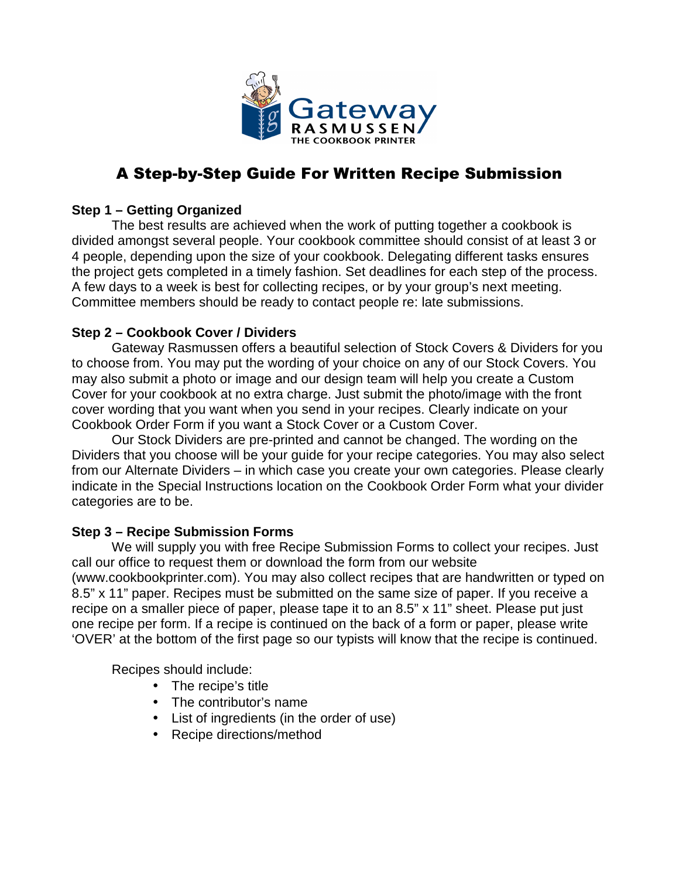

# A Step-by-Step Guide For Written Recipe Submission

# **Step 1 – Getting Organized**

 The best results are achieved when the work of putting together a cookbook is divided amongst several people. Your cookbook committee should consist of at least 3 or 4 people, depending upon the size of your cookbook. Delegating different tasks ensures the project gets completed in a timely fashion. Set deadlines for each step of the process. A few days to a week is best for collecting recipes, or by your group's next meeting. Committee members should be ready to contact people re: late submissions.

# **Step 2 – Cookbook Cover / Dividers**

Gateway Rasmussen offers a beautiful selection of Stock Covers & Dividers for you to choose from. You may put the wording of your choice on any of our Stock Covers. You may also submit a photo or image and our design team will help you create a Custom Cover for your cookbook at no extra charge. Just submit the photo/image with the front cover wording that you want when you send in your recipes. Clearly indicate on your Cookbook Order Form if you want a Stock Cover or a Custom Cover.

Our Stock Dividers are pre-printed and cannot be changed. The wording on the Dividers that you choose will be your guide for your recipe categories. You may also select from our Alternate Dividers – in which case you create your own categories. Please clearly indicate in the Special Instructions location on the Cookbook Order Form what your divider categories are to be.

# **Step 3 – Recipe Submission Forms**

We will supply you with free Recipe Submission Forms to collect your recipes. Just call our office to request them or download the form from our website (www.cookbookprinter.com). You may also collect recipes that are handwritten or typed on 8.5" x 11" paper. Recipes must be submitted on the same size of paper. If you receive a recipe on a smaller piece of paper, please tape it to an 8.5" x 11" sheet. Please put just one recipe per form. If a recipe is continued on the back of a form or paper, please write 'OVER' at the bottom of the first page so our typists will know that the recipe is continued.

Recipes should include:

- The recipe's title
- The contributor's name
- List of ingredients (in the order of use)
- Recipe directions/method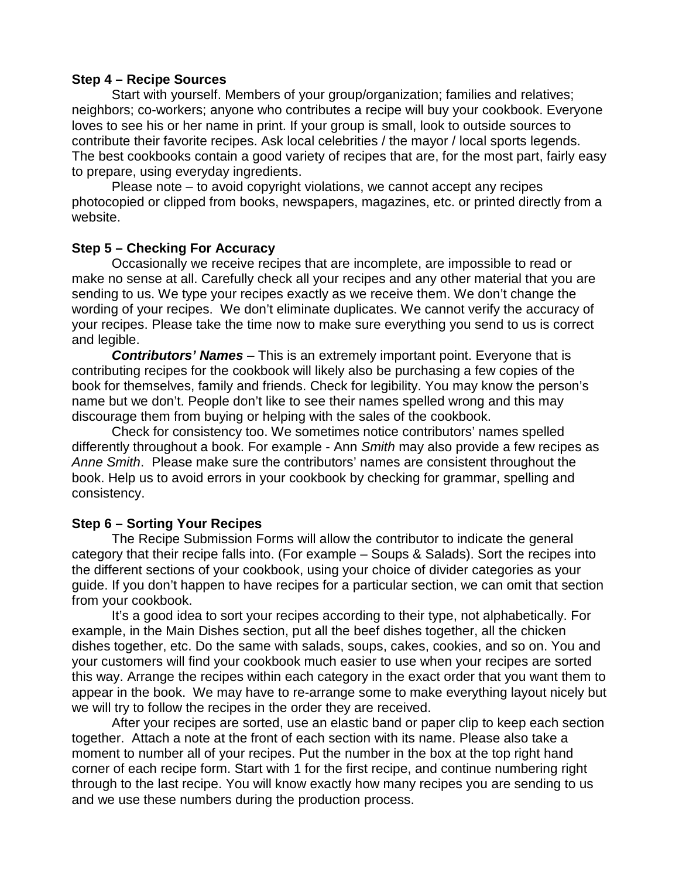#### **Step 4 – Recipe Sources**

Start with yourself. Members of your group/organization; families and relatives; neighbors; co-workers; anyone who contributes a recipe will buy your cookbook. Everyone loves to see his or her name in print. If your group is small, look to outside sources to contribute their favorite recipes. Ask local celebrities / the mayor / local sports legends. The best cookbooks contain a good variety of recipes that are, for the most part, fairly easy to prepare, using everyday ingredients.

 Please note – to avoid copyright violations, we cannot accept any recipes photocopied or clipped from books, newspapers, magazines, etc. or printed directly from a website.

#### **Step 5 – Checking For Accuracy**

 Occasionally we receive recipes that are incomplete, are impossible to read or make no sense at all. Carefully check all your recipes and any other material that you are sending to us. We type your recipes exactly as we receive them. We don't change the wording of your recipes. We don't eliminate duplicates. We cannot verify the accuracy of your recipes. Please take the time now to make sure everything you send to us is correct and legible.

**Contributors' Names** – This is an extremely important point. Everyone that is contributing recipes for the cookbook will likely also be purchasing a few copies of the book for themselves, family and friends. Check for legibility. You may know the person's name but we don't. People don't like to see their names spelled wrong and this may discourage them from buying or helping with the sales of the cookbook.

 Check for consistency too. We sometimes notice contributors' names spelled differently throughout a book. For example - Ann Smith may also provide a few recipes as Anne Smith. Please make sure the contributors' names are consistent throughout the book. Help us to avoid errors in your cookbook by checking for grammar, spelling and consistency.

# **Step 6 – Sorting Your Recipes**

 The Recipe Submission Forms will allow the contributor to indicate the general category that their recipe falls into. (For example – Soups & Salads). Sort the recipes into the different sections of your cookbook, using your choice of divider categories as your guide. If you don't happen to have recipes for a particular section, we can omit that section from your cookbook.

 It's a good idea to sort your recipes according to their type, not alphabetically. For example, in the Main Dishes section, put all the beef dishes together, all the chicken dishes together, etc. Do the same with salads, soups, cakes, cookies, and so on. You and your customers will find your cookbook much easier to use when your recipes are sorted this way. Arrange the recipes within each category in the exact order that you want them to appear in the book. We may have to re-arrange some to make everything layout nicely but we will try to follow the recipes in the order they are received.

 After your recipes are sorted, use an elastic band or paper clip to keep each section together. Attach a note at the front of each section with its name. Please also take a moment to number all of your recipes. Put the number in the box at the top right hand corner of each recipe form. Start with 1 for the first recipe, and continue numbering right through to the last recipe. You will know exactly how many recipes you are sending to us and we use these numbers during the production process.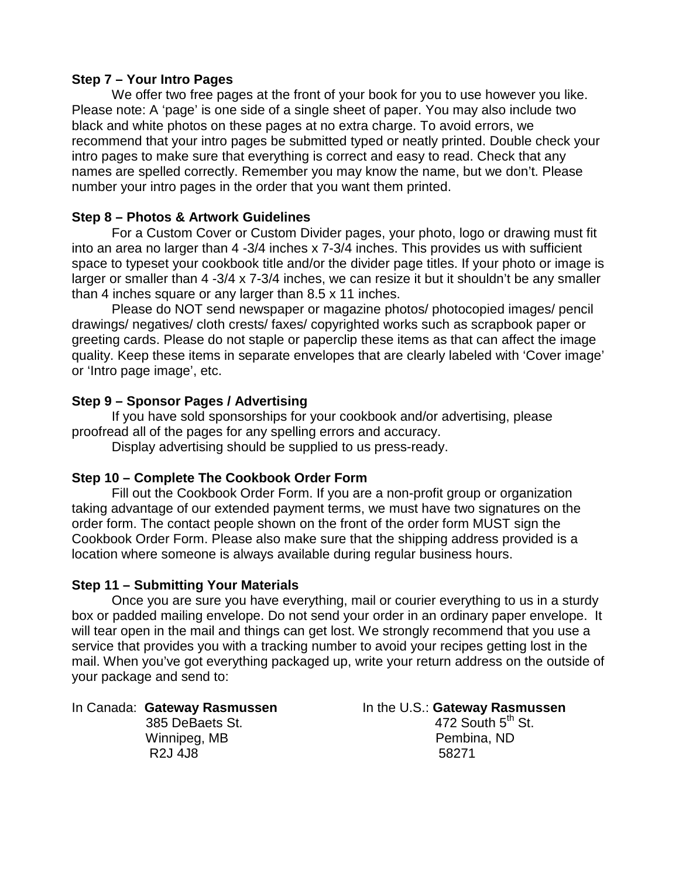# **Step 7 – Your Intro Pages**

 We offer two free pages at the front of your book for you to use however you like. Please note: A 'page' is one side of a single sheet of paper. You may also include two black and white photos on these pages at no extra charge. To avoid errors, we recommend that your intro pages be submitted typed or neatly printed. Double check your intro pages to make sure that everything is correct and easy to read. Check that any names are spelled correctly. Remember you may know the name, but we don't. Please number your intro pages in the order that you want them printed.

# **Step 8 – Photos & Artwork Guidelines**

For a Custom Cover or Custom Divider pages, your photo, logo or drawing must fit into an area no larger than 4 -3/4 inches x 7-3/4 inches. This provides us with sufficient space to typeset your cookbook title and/or the divider page titles. If your photo or image is larger or smaller than 4 -3/4 x 7-3/4 inches, we can resize it but it shouldn't be any smaller than 4 inches square or any larger than 8.5 x 11 inches.

 Please do NOT send newspaper or magazine photos/ photocopied images/ pencil drawings/ negatives/ cloth crests/ faxes/ copyrighted works such as scrapbook paper or greeting cards. Please do not staple or paperclip these items as that can affect the image quality. Keep these items in separate envelopes that are clearly labeled with 'Cover image' or 'Intro page image', etc.

#### **Step 9 – Sponsor Pages / Advertising**

 If you have sold sponsorships for your cookbook and/or advertising, please proofread all of the pages for any spelling errors and accuracy.

Display advertising should be supplied to us press-ready.

# **Step 10 – Complete The Cookbook Order Form**

 Fill out the Cookbook Order Form. If you are a non-profit group or organization taking advantage of our extended payment terms, we must have two signatures on the order form. The contact people shown on the front of the order form MUST sign the Cookbook Order Form. Please also make sure that the shipping address provided is a location where someone is always available during regular business hours.

#### **Step 11 – Submitting Your Materials**

 Once you are sure you have everything, mail or courier everything to us in a sturdy box or padded mailing envelope. Do not send your order in an ordinary paper envelope. It will tear open in the mail and things can get lost. We strongly recommend that you use a service that provides you with a tracking number to avoid your recipes getting lost in the mail. When you've got everything packaged up, write your return address on the outside of your package and send to:

R2J 4J8 58271

In Canada: Gateway Rasmussen **In the U.S.: Gateway Rasmussen 385 DeBaets St.** 472 South 5<sup>th</sup> St. Winnipeg, MB **Pembina**, ND